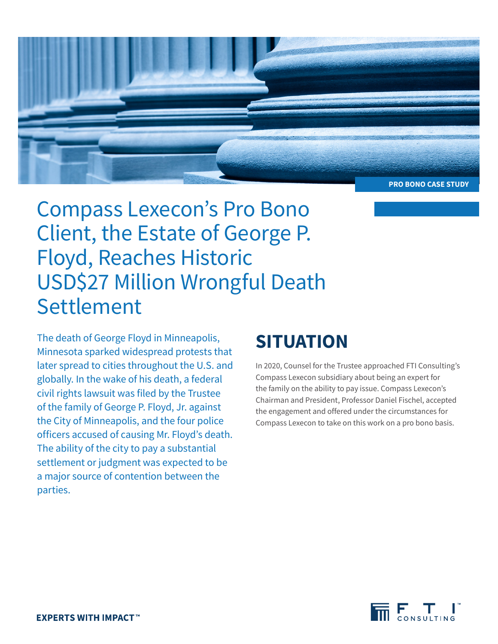

Compass Lexecon's Pro Bono Client, the Estate of George P. Floyd, Reaches Historic USD\$27 Million Wrongful Death Settlement

The death of George Floyd in Minneapolis, Minnesota sparked widespread protests that later spread to cities throughout the U.S. and globally. In the wake of his death, a federal civil rights lawsuit was filed by the Trustee of the family of George P. Floyd, Jr. against the City of Minneapolis, and the four police officers accused of causing Mr. Floyd's death. The ability of the city to pay a substantial settlement or judgment was expected to be a major source of contention between the parties.

## **SITUATION**

In 2020, Counsel for the Trustee approached FTI Consulting's Compass Lexecon subsidiary about being an expert for the family on the ability to pay issue. Compass Lexecon's Chairman and President, Professor Daniel Fischel, accepted the engagement and offered under the circumstances for Compass Lexecon to take on this work on a pro bono basis.